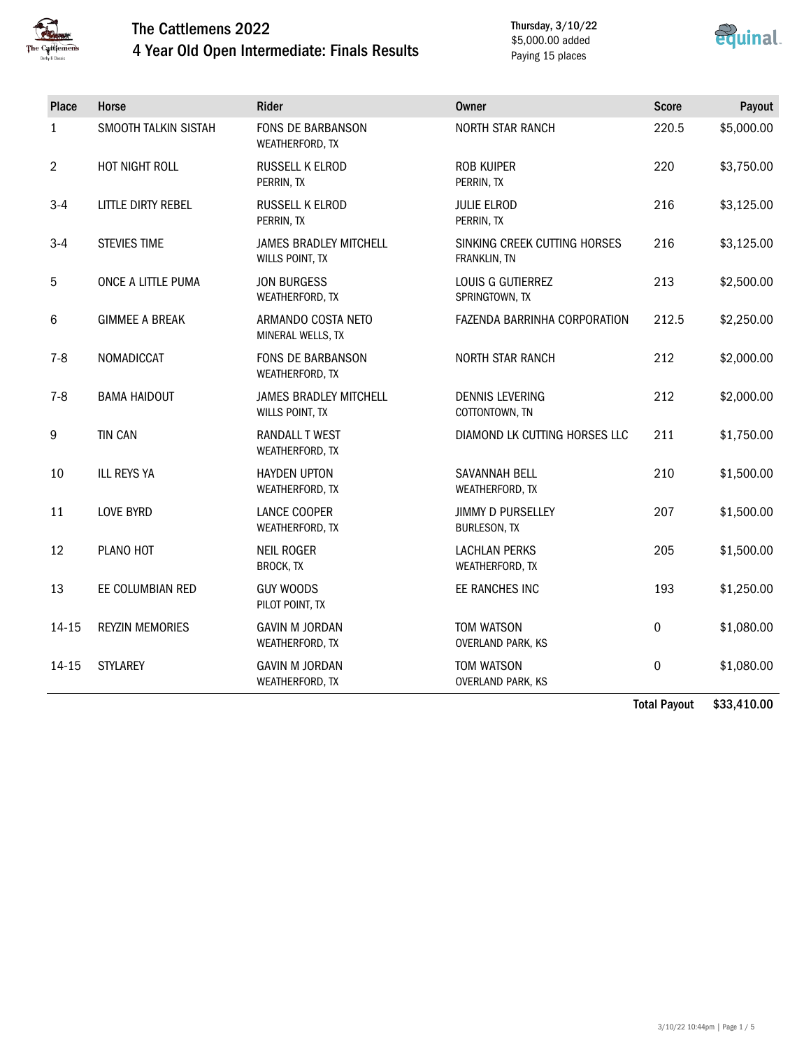

## The Cattlemens 2022 4 Year Old Open Intermediate: Finals Results

Thursday, 3/10/22 \$5,000.00 added Paying 15 places



| Place          | Horse                  | <b>Rider</b>                                     | <b>Owner</b>                                 | <b>Score</b> | Payout     |
|----------------|------------------------|--------------------------------------------------|----------------------------------------------|--------------|------------|
| $\mathbf{1}$   | SMOOTH TALKIN SISTAH   | <b>FONS DE BARBANSON</b><br>WEATHERFORD, TX      | <b>NORTH STAR RANCH</b>                      | 220.5        | \$5,000.00 |
| $\overline{2}$ | HOT NIGHT ROLL         | RUSSELL K ELROD<br>PERRIN, TX                    | <b>ROB KUIPER</b><br>PERRIN, TX              | 220          | \$3,750.00 |
| $3-4$          | LITTLE DIRTY REBEL     | RUSSELL K ELROD<br>PERRIN, TX                    | <b>JULIE ELROD</b><br>PERRIN, TX             | 216          | \$3,125.00 |
| $3 - 4$        | <b>STEVIES TIME</b>    | <b>JAMES BRADLEY MITCHELL</b><br>WILLS POINT, TX | SINKING CREEK CUTTING HORSES<br>FRANKLIN, TN | 216          | \$3,125.00 |
| 5              | ONCE A LITTLE PUMA     | <b>JON BURGESS</b><br>WEATHERFORD, TX            | <b>LOUIS G GUTIERREZ</b><br>SPRINGTOWN, TX   | 213          | \$2,500.00 |
| 6              | <b>GIMMEE A BREAK</b>  | ARMANDO COSTA NETO<br>MINERAL WELLS, TX          | FAZENDA BARRINHA CORPORATION                 | 212.5        | \$2,250.00 |
| $7 - 8$        | NOMADICCAT             | <b>FONS DE BARBANSON</b><br>WEATHERFORD, TX      | <b>NORTH STAR RANCH</b>                      | 212          | \$2,000.00 |
| $7 - 8$        | <b>BAMA HAIDOUT</b>    | <b>JAMES BRADLEY MITCHELL</b><br>WILLS POINT, TX | <b>DENNIS LEVERING</b><br>COTTONTOWN, TN     | 212          | \$2,000.00 |
| 9              | <b>TIN CAN</b>         | <b>RANDALL T WEST</b><br>WEATHERFORD, TX         | DIAMOND LK CUTTING HORSES LLC                | 211          | \$1,750.00 |
| 10             | <b>ILL REYS YA</b>     | <b>HAYDEN UPTON</b><br>WEATHERFORD, TX           | SAVANNAH BELL<br>WEATHERFORD, TX             | 210          | \$1,500.00 |
| 11             | <b>LOVE BYRD</b>       | <b>LANCE COOPER</b><br>WEATHERFORD, TX           | <b>JIMMY D PURSELLEY</b><br>BURLESON, TX     | 207          | \$1,500.00 |
| 12             | PLANO HOT              | <b>NEIL ROGER</b><br>BROCK, TX                   | <b>LACHLAN PERKS</b><br>WEATHERFORD, TX      | 205          | \$1,500.00 |
| 13             | EE COLUMBIAN RED       | <b>GUY WOODS</b><br>PILOT POINT, TX              | EE RANCHES INC                               | 193          | \$1,250.00 |
| $14 - 15$      | <b>REYZIN MEMORIES</b> | <b>GAVIN M JORDAN</b><br>WEATHERFORD, TX         | TOM WATSON<br>OVERLAND PARK, KS              | 0            | \$1,080.00 |
| 14-15          | <b>STYLAREY</b>        | <b>GAVIN M JORDAN</b><br>WEATHERFORD, TX         | TOM WATSON<br><b>OVERLAND PARK, KS</b>       | 0            | \$1,080.00 |

Total Payout \$33,410.00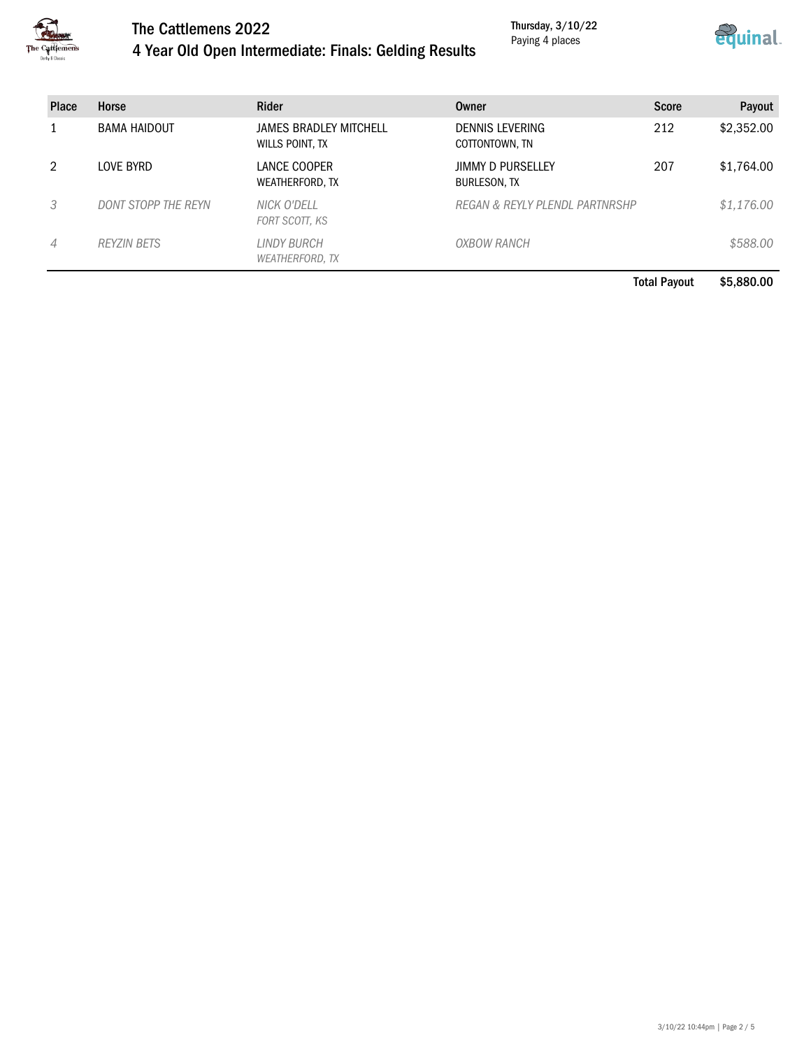

#### The Cattlemens 2022

Thursday, 3/10/22 Paying 4 places



4 Year Old Open Intermediate: Finals: Gelding Results

| <b>Place</b> | Horse               | <b>Rider</b>                                     | Owner                                    | <b>Score</b> | Payout     |
|--------------|---------------------|--------------------------------------------------|------------------------------------------|--------------|------------|
|              | <b>BAMA HAIDOUT</b> | <b>JAMES BRADLEY MITCHELL</b><br>WILLS POINT, TX | <b>DENNIS LEVERING</b><br>COTTONTOWN, TN | 212          | \$2,352.00 |
| 2            | LOVE BYRD           | LANCE COOPER<br>WEATHERFORD, TX                  | JIMMY D PURSELLEY<br><b>BURLESON, TX</b> | 207          | \$1,764.00 |
|              | DONT STOPP THE REYN | NICK O'DELL<br>FORT SCOTT, KS                    | REGAN & REYLY PLENDL PARTNRSHP           |              | \$1,176.00 |
| 4            | <b>REYZIN BETS</b>  | LINDY BURCH<br><b>WEATHERFORD, TX</b>            | OXBOW RANCH                              |              | \$588.00   |

Total Payout \$5,880.00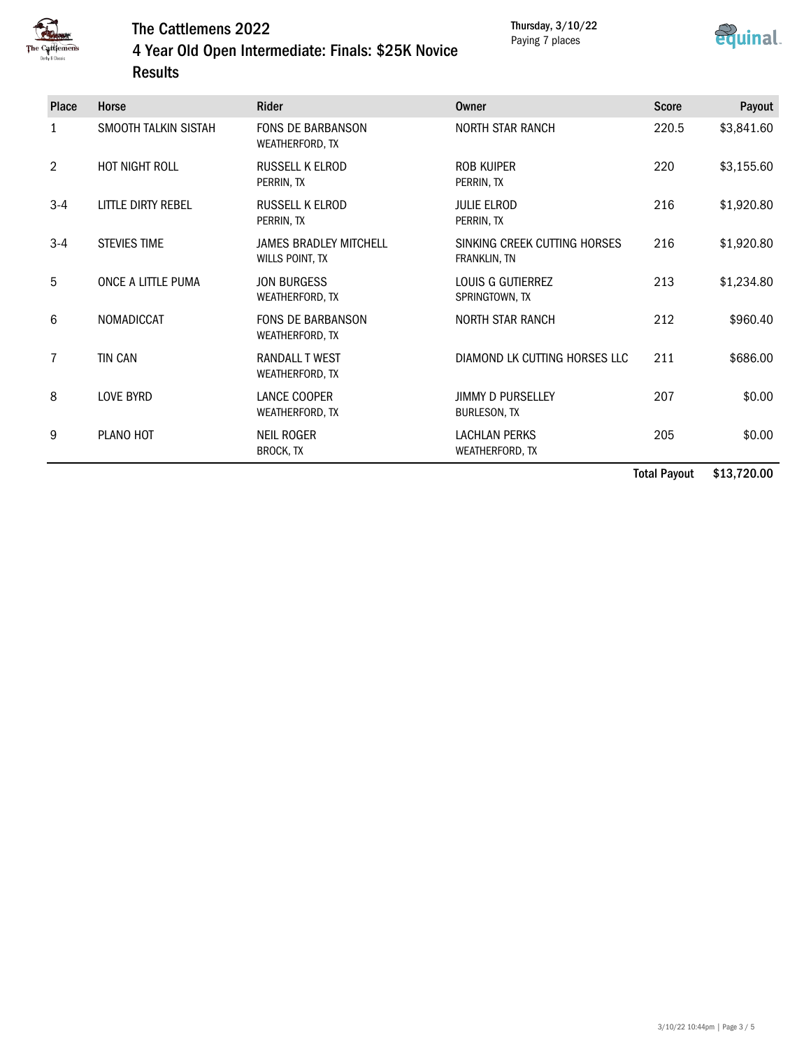

#### The Cattlemens 2022

4 Year Old Open Intermediate: Finals: \$25K Novice **Results** 

Thursday, 3/10/22 Paying 7 places



| <b>Place</b> | Horse                     | <b>Rider</b>                                            | <b>Owner</b>                                    | <b>Score</b> | Payout     |
|--------------|---------------------------|---------------------------------------------------------|-------------------------------------------------|--------------|------------|
| 1            | SMOOTH TALKIN SISTAH      | <b>FONS DE BARBANSON</b><br>WEATHERFORD, TX             | <b>NORTH STAR RANCH</b>                         | 220.5        | \$3,841.60 |
| 2            | <b>HOT NIGHT ROLL</b>     | RUSSELL K ELROD<br>PERRIN, TX                           | ROB KUIPER<br>PERRIN, TX                        | 220          | \$3,155.60 |
| $3 - 4$      | <b>LITTLE DIRTY REBEL</b> | <b>RUSSELL K ELROD</b><br>PERRIN, TX                    | <b>JULIE ELROD</b><br>PERRIN, TX                | 216          | \$1,920.80 |
| $3 - 4$      | <b>STEVIES TIME</b>       | <b>JAMES BRADLEY MITCHELL</b><br><b>WILLS POINT, TX</b> | SINKING CREEK CUTTING HORSES<br>FRANKLIN, TN    | 216          | \$1,920.80 |
| 5            | ONCE A LITTLE PUMA        | <b>JON BURGESS</b><br>WEATHERFORD, TX                   | <b>LOUIS G GUTIERREZ</b><br>SPRINGTOWN, TX      | 213          | \$1,234.80 |
| 6            | NOMADICCAT                | <b>FONS DE BARBANSON</b><br>WEATHERFORD, TX             | <b>NORTH STAR RANCH</b>                         | 212          | \$960.40   |
| 7            | TIN CAN                   | <b>RANDALL T WEST</b><br>WEATHERFORD, TX                | DIAMOND LK CUTTING HORSES LLC                   | 211          | \$686.00   |
| 8            | <b>LOVE BYRD</b>          | LANCE COOPER<br>WEATHERFORD, TX                         | <b>JIMMY D PURSELLEY</b><br><b>BURLESON, TX</b> | 207          | \$0.00     |
| 9            | PLANO HOT                 | <b>NEIL ROGER</b><br>BROCK, TX                          | <b>LACHLAN PERKS</b><br>WEATHERFORD, TX         | 205          | \$0.00     |

Total Payout \$13,720.00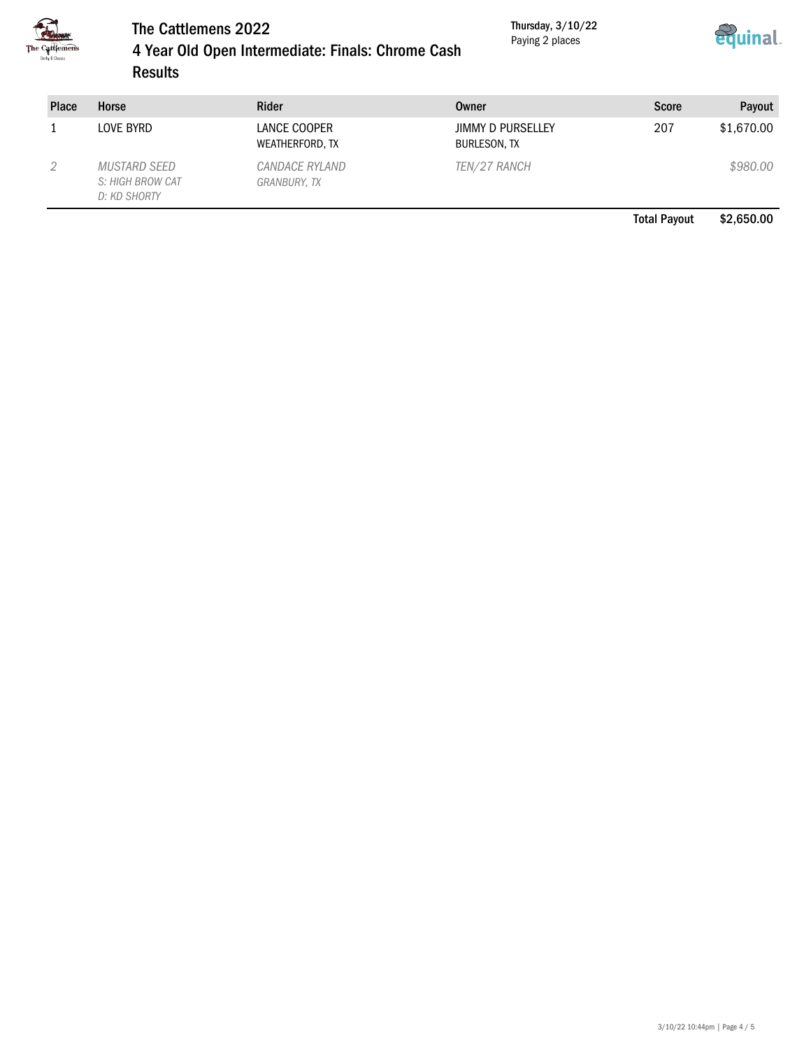

### The Cattlemens 2022 4 Year Old Open Intermediate: Finals: Chrome Cash **Results**

Thursday, 3/10/22 Paying 2 places



| <b>Place</b> | Horse                                            | Rider                                 | Owner                             | <b>Score</b> | Payout     |
|--------------|--------------------------------------------------|---------------------------------------|-----------------------------------|--------------|------------|
|              | LOVE BYRD                                        | LANCE COOPER<br>WEATHERFORD, TX       | JIMMY D PURSELLEY<br>BURLESON, TX | 207          | \$1,670.00 |
|              | MUSTARD SEED<br>S: HIGH BROW CAT<br>D: KD SHORTY | <i>CANDACE RYLAND</i><br>GRANBURY, TX | TEN/27 RANCH                      |              | \$980.00   |

Total Payout \$2,650.00